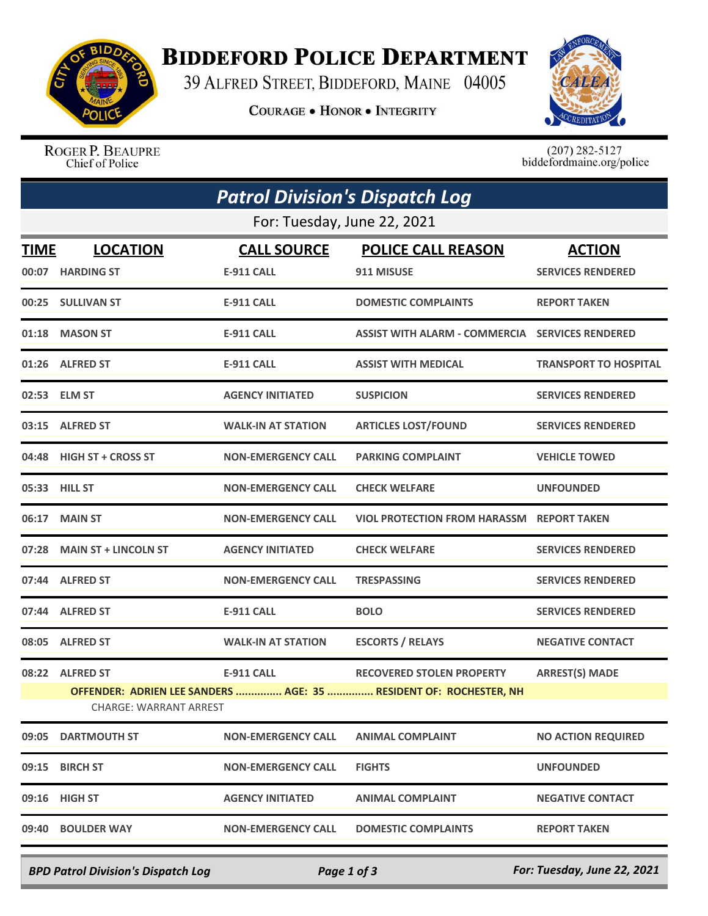

## **BIDDEFORD POLICE DEPARTMENT**

39 ALFRED STREET, BIDDEFORD, MAINE 04005

**COURAGE . HONOR . INTEGRITY** 



ROGER P. BEAUPRE Chief of Police

 $(207)$  282-5127<br>biddefordmaine.org/police

| <b>Patrol Division's Dispatch Log</b> |                                                                                                                                                                                                         |                                         |                                                        |                                           |  |  |  |  |
|---------------------------------------|---------------------------------------------------------------------------------------------------------------------------------------------------------------------------------------------------------|-----------------------------------------|--------------------------------------------------------|-------------------------------------------|--|--|--|--|
| For: Tuesday, June 22, 2021           |                                                                                                                                                                                                         |                                         |                                                        |                                           |  |  |  |  |
| <b>TIME</b>                           | <b>LOCATION</b><br>00:07 HARDING ST                                                                                                                                                                     | <b>CALL SOURCE</b><br><b>E-911 CALL</b> | <b>POLICE CALL REASON</b><br>911 MISUSE                | <b>ACTION</b><br><b>SERVICES RENDERED</b> |  |  |  |  |
|                                       | 00:25 SULLIVAN ST                                                                                                                                                                                       | <b>E-911 CALL</b>                       | <b>DOMESTIC COMPLAINTS</b>                             | <b>REPORT TAKEN</b>                       |  |  |  |  |
|                                       | 01:18 MASON ST                                                                                                                                                                                          | <b>E-911 CALL</b>                       | <b>ASSIST WITH ALARM - COMMERCIA SERVICES RENDERED</b> |                                           |  |  |  |  |
|                                       | 01:26 ALFRED ST                                                                                                                                                                                         | <b>E-911 CALL</b>                       | <b>ASSIST WITH MEDICAL</b>                             | <b>TRANSPORT TO HOSPITAL</b>              |  |  |  |  |
|                                       | 02:53 ELM ST                                                                                                                                                                                            | <b>AGENCY INITIATED</b>                 | <b>SUSPICION</b>                                       | <b>SERVICES RENDERED</b>                  |  |  |  |  |
|                                       | 03:15 ALFRED ST                                                                                                                                                                                         | <b>WALK-IN AT STATION</b>               | <b>ARTICLES LOST/FOUND</b>                             | <b>SERVICES RENDERED</b>                  |  |  |  |  |
|                                       | 04:48 HIGH ST + CROSS ST                                                                                                                                                                                | <b>NON-EMERGENCY CALL</b>               | <b>PARKING COMPLAINT</b>                               | <b>VEHICLE TOWED</b>                      |  |  |  |  |
|                                       | 05:33 HILL ST                                                                                                                                                                                           | <b>NON-EMERGENCY CALL</b>               | <b>CHECK WELFARE</b>                                   | <b>UNFOUNDED</b>                          |  |  |  |  |
|                                       | 06:17 MAIN ST                                                                                                                                                                                           | <b>NON-EMERGENCY CALL</b>               | <b>VIOL PROTECTION FROM HARASSM REPORT TAKEN</b>       |                                           |  |  |  |  |
|                                       | 07:28 MAIN ST + LINCOLN ST                                                                                                                                                                              | <b>AGENCY INITIATED</b>                 | <b>CHECK WELFARE</b>                                   | <b>SERVICES RENDERED</b>                  |  |  |  |  |
|                                       | 07:44 ALFRED ST                                                                                                                                                                                         | <b>NON-EMERGENCY CALL</b>               | <b>TRESPASSING</b>                                     | <b>SERVICES RENDERED</b>                  |  |  |  |  |
|                                       | 07:44 ALFRED ST                                                                                                                                                                                         | <b>E-911 CALL</b>                       | <b>BOLO</b>                                            | <b>SERVICES RENDERED</b>                  |  |  |  |  |
| 08:05                                 | <b>ALFRED ST</b>                                                                                                                                                                                        | <b>WALK-IN AT STATION</b>               | <b>ESCORTS / RELAYS</b>                                | <b>NEGATIVE CONTACT</b>                   |  |  |  |  |
|                                       | 08:22 ALFRED ST<br><b>E-911 CALL</b><br><b>RECOVERED STOLEN PROPERTY</b><br><b>ARREST(S) MADE</b><br>OFFENDER: ADRIEN LEE SANDERS  AGE: 35  RESIDENT OF: ROCHESTER, NH<br><b>CHARGE: WARRANT ARREST</b> |                                         |                                                        |                                           |  |  |  |  |
| 09:05                                 | <b>DARTMOUTH ST</b>                                                                                                                                                                                     | <b>NON-EMERGENCY CALL</b>               | <b>ANIMAL COMPLAINT</b>                                | <b>NO ACTION REQUIRED</b>                 |  |  |  |  |
| 09:15                                 | <b>BIRCH ST</b>                                                                                                                                                                                         | <b>NON-EMERGENCY CALL</b>               | <b>FIGHTS</b>                                          | <b>UNFOUNDED</b>                          |  |  |  |  |
|                                       | 09:16 HIGH ST                                                                                                                                                                                           | <b>AGENCY INITIATED</b>                 | <b>ANIMAL COMPLAINT</b>                                | <b>NEGATIVE CONTACT</b>                   |  |  |  |  |
| 09:40                                 | <b>BOULDER WAY</b>                                                                                                                                                                                      | <b>NON-EMERGENCY CALL</b>               | <b>DOMESTIC COMPLAINTS</b>                             | <b>REPORT TAKEN</b>                       |  |  |  |  |

*BPD Patrol Division's Dispatch Log Page 1 of 3 For: Tuesday, June 22, 2021*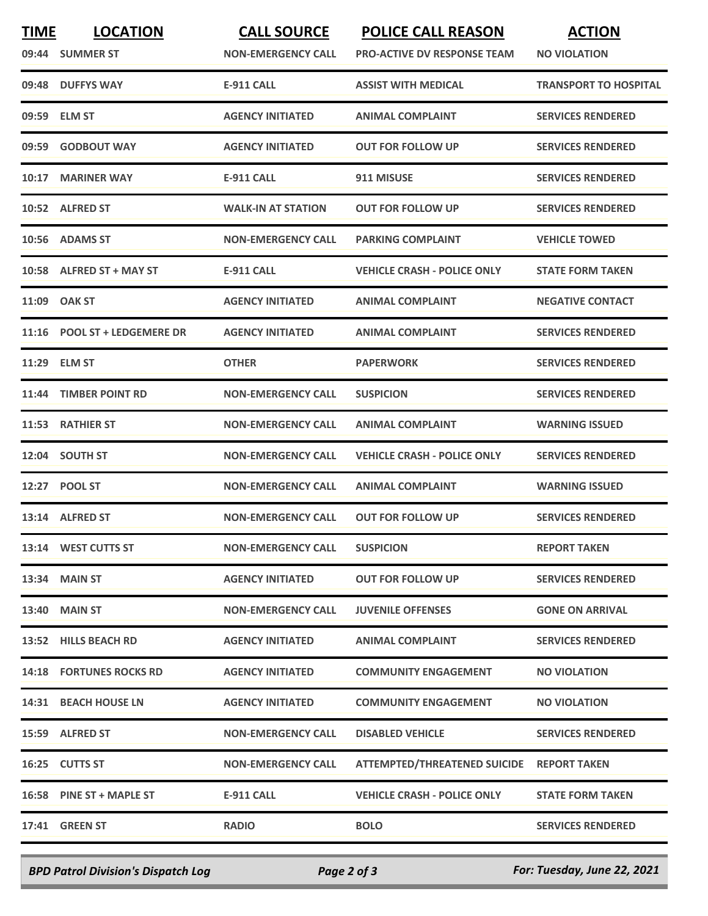| <b>TIME</b> | <b>LOCATION</b><br>09:44 SUMMER ST | <b>CALL SOURCE</b><br><b>NON-EMERGENCY CALL</b> | <b>POLICE CALL REASON</b><br><b>PRO-ACTIVE DV RESPONSE TEAM</b> | <b>ACTION</b><br><b>NO VIOLATION</b> |
|-------------|------------------------------------|-------------------------------------------------|-----------------------------------------------------------------|--------------------------------------|
| 09:48       | <b>DUFFYS WAY</b>                  | <b>E-911 CALL</b>                               | <b>ASSIST WITH MEDICAL</b>                                      | <b>TRANSPORT TO HOSPITAL</b>         |
|             | 09:59 ELM ST                       | <b>AGENCY INITIATED</b>                         | <b>ANIMAL COMPLAINT</b>                                         | <b>SERVICES RENDERED</b>             |
| 09:59       | <b>GODBOUT WAY</b>                 | <b>AGENCY INITIATED</b>                         | <b>OUT FOR FOLLOW UP</b>                                        | <b>SERVICES RENDERED</b>             |
| 10:17       | <b>MARINER WAY</b>                 | <b>E-911 CALL</b>                               | 911 MISUSE                                                      | <b>SERVICES RENDERED</b>             |
|             | 10:52 ALFRED ST                    | <b>WALK-IN AT STATION</b>                       | <b>OUT FOR FOLLOW UP</b>                                        | <b>SERVICES RENDERED</b>             |
|             | 10:56 ADAMS ST                     | <b>NON-EMERGENCY CALL</b>                       | <b>PARKING COMPLAINT</b>                                        | <b>VEHICLE TOWED</b>                 |
|             | 10:58 ALFRED ST + MAY ST           | <b>E-911 CALL</b>                               | <b>VEHICLE CRASH - POLICE ONLY</b>                              | <b>STATE FORM TAKEN</b>              |
|             | 11:09 OAK ST                       | <b>AGENCY INITIATED</b>                         | <b>ANIMAL COMPLAINT</b>                                         | <b>NEGATIVE CONTACT</b>              |
|             | 11:16 POOL ST + LEDGEMERE DR       | <b>AGENCY INITIATED</b>                         | <b>ANIMAL COMPLAINT</b>                                         | <b>SERVICES RENDERED</b>             |
| 11:29       | <b>ELM ST</b>                      | <b>OTHER</b>                                    | <b>PAPERWORK</b>                                                | <b>SERVICES RENDERED</b>             |
| 11:44       | <b>TIMBER POINT RD</b>             | <b>NON-EMERGENCY CALL</b>                       | <b>SUSPICION</b>                                                | <b>SERVICES RENDERED</b>             |
| 11:53       | <b>RATHIER ST</b>                  | <b>NON-EMERGENCY CALL</b>                       | <b>ANIMAL COMPLAINT</b>                                         | <b>WARNING ISSUED</b>                |
|             | 12:04 SOUTH ST                     | <b>NON-EMERGENCY CALL</b>                       | <b>VEHICLE CRASH - POLICE ONLY</b>                              | <b>SERVICES RENDERED</b>             |
|             | 12:27 POOL ST                      | <b>NON-EMERGENCY CALL</b>                       | <b>ANIMAL COMPLAINT</b>                                         | <b>WARNING ISSUED</b>                |
|             | 13:14 ALFRED ST                    | <b>NON-EMERGENCY CALL</b>                       | <b>OUT FOR FOLLOW UP</b>                                        | <b>SERVICES RENDERED</b>             |
|             | 13:14 WEST CUTTS ST                | <b>NON-EMERGENCY CALL</b>                       | <b>SUSPICION</b>                                                | <b>REPORT TAKEN</b>                  |
|             | 13:34 MAIN ST                      | <b>AGENCY INITIATED</b>                         | <b>OUT FOR FOLLOW UP</b>                                        | <b>SERVICES RENDERED</b>             |
|             | 13:40 MAIN ST                      | <b>NON-EMERGENCY CALL</b>                       | <b>JUVENILE OFFENSES</b>                                        | <b>GONE ON ARRIVAL</b>               |
|             | 13:52 HILLS BEACH RD               | <b>AGENCY INITIATED</b>                         | <b>ANIMAL COMPLAINT</b>                                         | <b>SERVICES RENDERED</b>             |
|             | <b>14:18 FORTUNES ROCKS RD</b>     | <b>AGENCY INITIATED</b>                         | <b>COMMUNITY ENGAGEMENT</b>                                     | <b>NO VIOLATION</b>                  |
|             | 14:31 BEACH HOUSE LN               | <b>AGENCY INITIATED</b>                         | <b>COMMUNITY ENGAGEMENT</b>                                     | <b>NO VIOLATION</b>                  |
|             | 15:59 ALFRED ST                    | <b>NON-EMERGENCY CALL</b>                       | <b>DISABLED VEHICLE</b>                                         | <b>SERVICES RENDERED</b>             |
|             | 16:25 CUTTS ST                     | <b>NON-EMERGENCY CALL</b>                       | <b>ATTEMPTED/THREATENED SUICIDE</b>                             | <b>REPORT TAKEN</b>                  |
|             | 16:58 PINE ST + MAPLE ST           | <b>E-911 CALL</b>                               | <b>VEHICLE CRASH - POLICE ONLY</b>                              | <b>STATE FORM TAKEN</b>              |
|             | <b>17:41 GREEN ST</b>              | <b>RADIO</b>                                    | <b>BOLO</b>                                                     | <b>SERVICES RENDERED</b>             |
|             |                                    |                                                 |                                                                 |                                      |

*BPD Patrol Division's Dispatch Log Page 2 of 3 For: Tuesday, June 22, 2021*